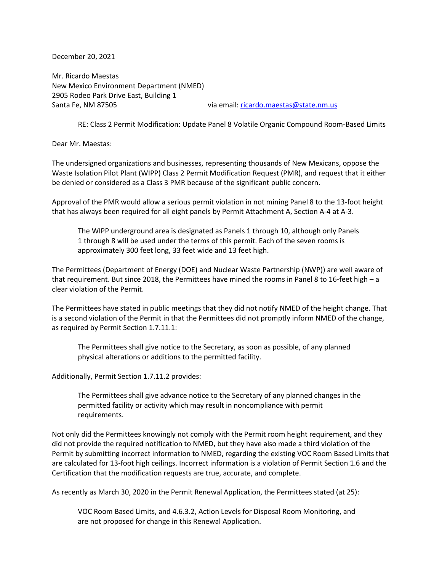December 20, 2021

Mr. Ricardo Maestas New Mexico Environment Department (NMED) 2905 Rodeo Park Drive East, Building 1 Santa Fe, NM 87505 via email: [ricardo.maestas@state.nm.us](mailto:ricardo.maestas@state.nm.us)

RE: Class 2 Permit Modification: Update Panel 8 Volatile Organic Compound Room-Based Limits

Dear Mr. Maestas:

The undersigned organizations and businesses, representing thousands of New Mexicans, oppose the Waste Isolation Pilot Plant (WIPP) Class 2 Permit Modification Request (PMR), and request that it either be denied or considered as a Class 3 PMR because of the significant public concern.

Approval of the PMR would allow a serious permit violation in not mining Panel 8 to the 13-foot height that has always been required for all eight panels by Permit Attachment A, Section A-4 at A-3.

The WIPP underground area is designated as Panels 1 through 10, although only Panels 1 through 8 will be used under the terms of this permit. Each of the seven rooms is approximately 300 feet long, 33 feet wide and 13 feet high.

The Permittees (Department of Energy (DOE) and Nuclear Waste Partnership (NWP)) are well aware of that requirement. But since 2018, the Permittees have mined the rooms in Panel 8 to 16-feet high – a clear violation of the Permit.

The Permittees have stated in public meetings that they did not notify NMED of the height change. That is a second violation of the Permit in that the Permittees did not promptly inform NMED of the change, as required by Permit Section 1.7.11.1:

The Permittees shall give notice to the Secretary, as soon as possible, of any planned physical alterations or additions to the permitted facility.

Additionally, Permit Section 1.7.11.2 provides:

The Permittees shall give advance notice to the Secretary of any planned changes in the permitted facility or activity which may result in noncompliance with permit requirements.

Not only did the Permittees knowingly not comply with the Permit room height requirement, and they did not provide the required notification to NMED, but they have also made a third violation of the Permit by submitting incorrect information to NMED, regarding the existing VOC Room Based Limits that are calculated for 13-foot high ceilings. Incorrect information is a violation of Permit Section 1.6 and the Certification that the modification requests are true, accurate, and complete.

As recently as March 30, 2020 in the Permit Renewal Application, the Permittees stated (at 25):

VOC Room Based Limits, and 4.6.3.2, Action Levels for Disposal Room Monitoring, and are not proposed for change in this Renewal Application.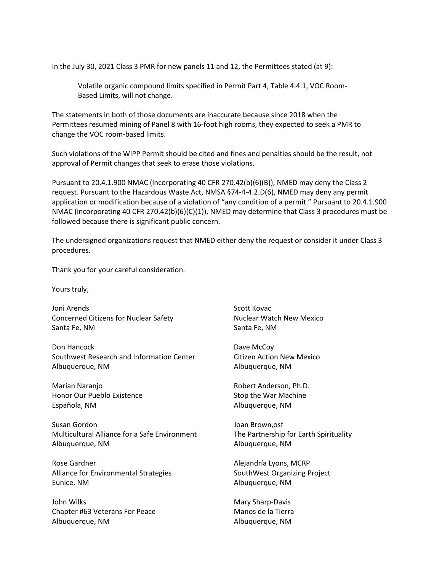In the July 30, 2021 Class 3 PMR for new panels 11 and 12, the Permittees stated (at 9):

Volatile organic compound limits specified in Permit Part 4, Table 4.4.1, VOC Room-Based Limits, will not change.

The statements in both of those documents are inaccurate because since 2018 when the Permittees resumed mining of Panel 8 with 16-foot high rooms, they expected to seek a PMR to change the VOC room-based limits.

Such violations of the WIPP Permit should be cited and fines and penalties should be the result, not approval of Permit changes that seek to erase those violations.

Pursuant to 20.4.1.900 NMAC (incorporating 40 CFR 270.42(b)(6)(B)), NMED may deny the Class 2 request. Pursuant to the Hazardous Waste Act, NMSA §74-4-4.2.D(6), NMED may deny any permit application or modification because of a violation of "any condition of a permit." Pursuant to 20.4.1.900 NMAC (incorporating 40 CFR 270.42(b)(6)(C)(1)), NMED may determine that Class 3 procedures must be followed because there is significant public concern.

The undersigned organizations request that NMED either deny the request or consider it under Class 3 procedures.

Thank you for your careful consideration.

Yours truly,

Joni Arends Novac New York 1980 Scott Kovac Concerned Citizens for Nuclear Safety Nuclear Watch New Mexico Santa Fe, NM Santa Fe, NM

Don Hancock Dave McCoy Southwest Research and Information Center **Citizen Action New Mexico** Albuquerque, NM and a settlement of the Albuquerque, NM

Marian Naranjo **Robert Anderson, Ph.D.** Robert Anderson, Ph.D. Honor Our Pueblo Existence Stop the War Machine Española, NM **Albuquerque, NM** 

Susan Gordon Joan Brown,osf Multicultural Alliance for a Safe Environment The Partnership for Earth Spirituality Albuquerque, NM and a settlement of the Albuquerque, NM

Rose Gardner **Alexandría Lyons, MCRP** Alliance for Environmental Strategies SouthWest Organizing Project Eunice, NM **Albuquerque, NM** 

John Wilks **Mary Sharp-Davis** Mary Sharp-Davis Chapter #63 Veterans For Peace Manos de la Tierra Albuquerque, NM Albuquerque, NM